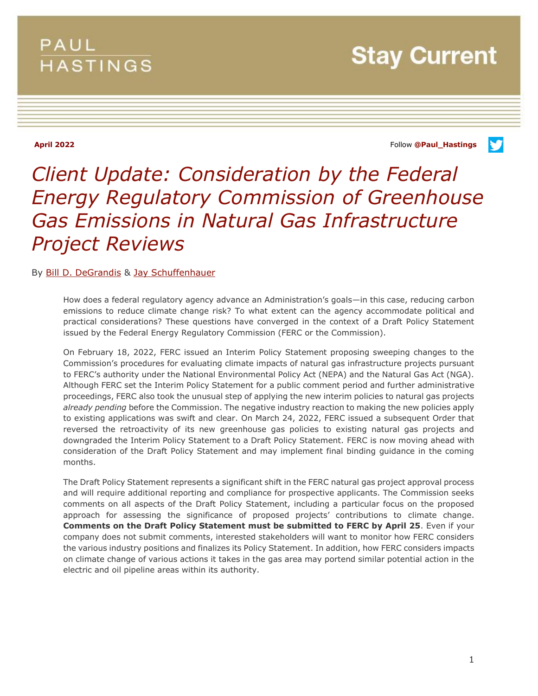# PAUL **HASTINGS**

**Stay Current** 

**April 2022** Follow **[@Paul\\_Hastings](http://twitter.com/Paul_Hastings)**

V



## By [Bill D. DeGrandis](https://www.paulhastings.com/professionals/billdegrandis) & [Jay Schuffenhauer](https://www.paulhastings.com/professionals/jayschuffenhauer)

How does a federal regulatory agency advance an Administration's goals—in this case, reducing carbon emissions to reduce climate change risk? To what extent can the agency accommodate political and practical considerations? These questions have converged in the context of a Draft Policy Statement issued by the Federal Energy Regulatory Commission (FERC or the Commission).

On February 18, 2022, FERC issued an Interim Policy Statement proposing sweeping changes to the Commission's procedures for evaluating climate impacts of natural gas infrastructure projects pursuant to FERC's authority under the National Environmental Policy Act (NEPA) and the Natural Gas Act (NGA). Although FERC set the Interim Policy Statement for a public comment period and further administrative proceedings, FERC also took the unusual step of applying the new interim policies to natural gas projects *already pending* before the Commission. The negative industry reaction to making the new policies apply to existing applications was swift and clear. On March 24, 2022, FERC issued a subsequent Order that reversed the retroactivity of its new greenhouse gas policies to existing natural gas projects and downgraded the Interim Policy Statement to a Draft Policy Statement. FERC is now moving ahead with consideration of the Draft Policy Statement and may implement final binding guidance in the coming months.

The Draft Policy Statement represents a significant shift in the FERC natural gas project approval process and will require additional reporting and compliance for prospective applicants. The Commission seeks comments on all aspects of the Draft Policy Statement, including a particular focus on the proposed approach for assessing the significance of proposed projects' contributions to climate change. **Comments on the Draft Policy Statement must be submitted to FERC by April 25**. Even if your company does not submit comments, interested stakeholders will want to monitor how FERC considers the various industry positions and finalizes its Policy Statement. In addition, how FERC considers impacts on climate change of various actions it takes in the gas area may portend similar potential action in the electric and oil pipeline areas within its authority.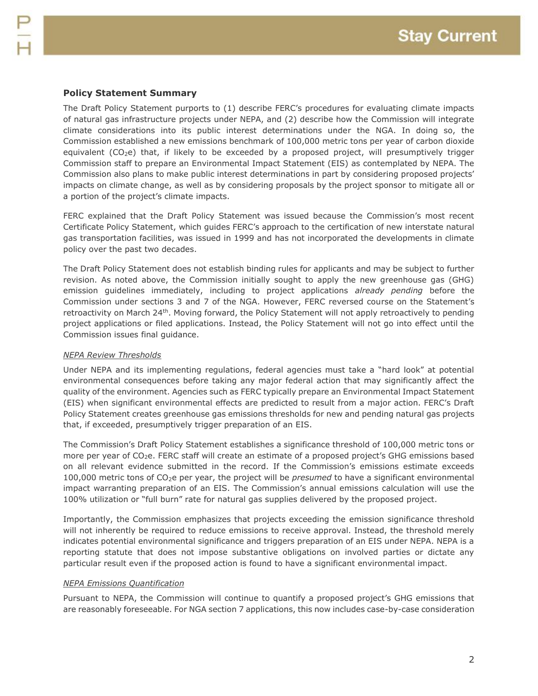## **Policy Statement Summary**

The Draft Policy Statement purports to (1) describe FERC's procedures for evaluating climate impacts of natural gas infrastructure projects under NEPA, and (2) describe how the Commission will integrate climate considerations into its public interest determinations under the NGA. In doing so, the Commission established a new emissions benchmark of 100,000 metric tons per year of carbon dioxide equivalent (CO<sub>2</sub>e) that, if likely to be exceeded by a proposed project, will presumptively trigger Commission staff to prepare an Environmental Impact Statement (EIS) as contemplated by NEPA. The Commission also plans to make public interest determinations in part by considering proposed projects' impacts on climate change, as well as by considering proposals by the project sponsor to mitigate all or a portion of the project's climate impacts.

FERC explained that the Draft Policy Statement was issued because the Commission's most recent Certificate Policy Statement, which guides FERC's approach to the certification of new interstate natural gas transportation facilities, was issued in 1999 and has not incorporated the developments in climate policy over the past two decades.

The Draft Policy Statement does not establish binding rules for applicants and may be subject to further revision. As noted above, the Commission initially sought to apply the new greenhouse gas (GHG) emission guidelines immediately, including to project applications *already pending* before the Commission under sections 3 and 7 of the NGA. However, FERC reversed course on the Statement's retroactivity on March 24th. Moving forward, the Policy Statement will not apply retroactively to pending project applications or filed applications. Instead, the Policy Statement will not go into effect until the Commission issues final guidance.

#### *NEPA Review Thresholds*

Under NEPA and its implementing regulations, federal agencies must take a "hard look" at potential environmental consequences before taking any major federal action that may significantly affect the quality of the environment. Agencies such as FERC typically prepare an Environmental Impact Statement (EIS) when significant environmental effects are predicted to result from a major action. FERC's Draft Policy Statement creates greenhouse gas emissions thresholds for new and pending natural gas projects that, if exceeded, presumptively trigger preparation of an EIS.

The Commission's Draft Policy Statement establishes a significance threshold of 100,000 metric tons or more per year of CO<sub>2</sub>e. FERC staff will create an estimate of a proposed project's GHG emissions based on all relevant evidence submitted in the record. If the Commission's emissions estimate exceeds 100,000 metric tons of CO2e per year, the project will be *presumed* to have a significant environmental impact warranting preparation of an EIS. The Commission's annual emissions calculation will use the 100% utilization or "full burn" rate for natural gas supplies delivered by the proposed project.

Importantly, the Commission emphasizes that projects exceeding the emission significance threshold will not inherently be required to reduce emissions to receive approval. Instead, the threshold merely indicates potential environmental significance and triggers preparation of an EIS under NEPA. NEPA is a reporting statute that does not impose substantive obligations on involved parties or dictate any particular result even if the proposed action is found to have a significant environmental impact.

#### *NEPA Emissions Quantification*

Pursuant to NEPA, the Commission will continue to quantify a proposed project's GHG emissions that are reasonably foreseeable. For NGA section 7 applications, this now includes case-by-case consideration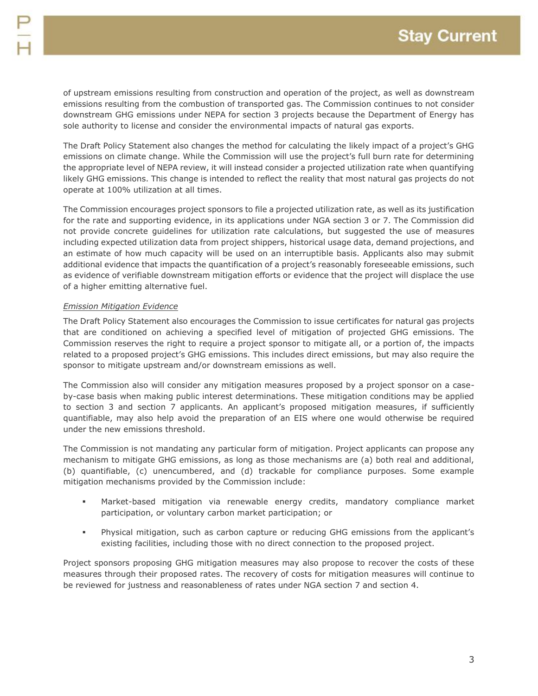of upstream emissions resulting from construction and operation of the project, as well as downstream emissions resulting from the combustion of transported gas. The Commission continues to not consider downstream GHG emissions under NEPA for section 3 projects because the Department of Energy has sole authority to license and consider the environmental impacts of natural gas exports.

The Draft Policy Statement also changes the method for calculating the likely impact of a project's GHG emissions on climate change. While the Commission will use the project's full burn rate for determining the appropriate level of NEPA review, it will instead consider a projected utilization rate when quantifying likely GHG emissions. This change is intended to reflect the reality that most natural gas projects do not operate at 100% utilization at all times.

The Commission encourages project sponsors to file a projected utilization rate, as well as its justification for the rate and supporting evidence, in its applications under NGA section 3 or 7. The Commission did not provide concrete guidelines for utilization rate calculations, but suggested the use of measures including expected utilization data from project shippers, historical usage data, demand projections, and an estimate of how much capacity will be used on an interruptible basis. Applicants also may submit additional evidence that impacts the quantification of a project's reasonably foreseeable emissions, such as evidence of verifiable downstream mitigation efforts or evidence that the project will displace the use of a higher emitting alternative fuel.

## *Emission Mitigation Evidence*

The Draft Policy Statement also encourages the Commission to issue certificates for natural gas projects that are conditioned on achieving a specified level of mitigation of projected GHG emissions. The Commission reserves the right to require a project sponsor to mitigate all, or a portion of, the impacts related to a proposed project's GHG emissions. This includes direct emissions, but may also require the sponsor to mitigate upstream and/or downstream emissions as well.

The Commission also will consider any mitigation measures proposed by a project sponsor on a caseby-case basis when making public interest determinations. These mitigation conditions may be applied to section 3 and section 7 applicants. An applicant's proposed mitigation measures, if sufficiently quantifiable, may also help avoid the preparation of an EIS where one would otherwise be required under the new emissions threshold.

The Commission is not mandating any particular form of mitigation. Project applicants can propose any mechanism to mitigate GHG emissions, as long as those mechanisms are (a) both real and additional, (b) quantifiable, (c) unencumbered, and (d) trackable for compliance purposes. Some example mitigation mechanisms provided by the Commission include:

- Market-based mitigation via renewable energy credits, mandatory compliance market participation, or voluntary carbon market participation; or
- Physical mitigation, such as carbon capture or reducing GHG emissions from the applicant's existing facilities, including those with no direct connection to the proposed project.

Project sponsors proposing GHG mitigation measures may also propose to recover the costs of these measures through their proposed rates. The recovery of costs for mitigation measures will continue to be reviewed for justness and reasonableness of rates under NGA section 7 and section 4.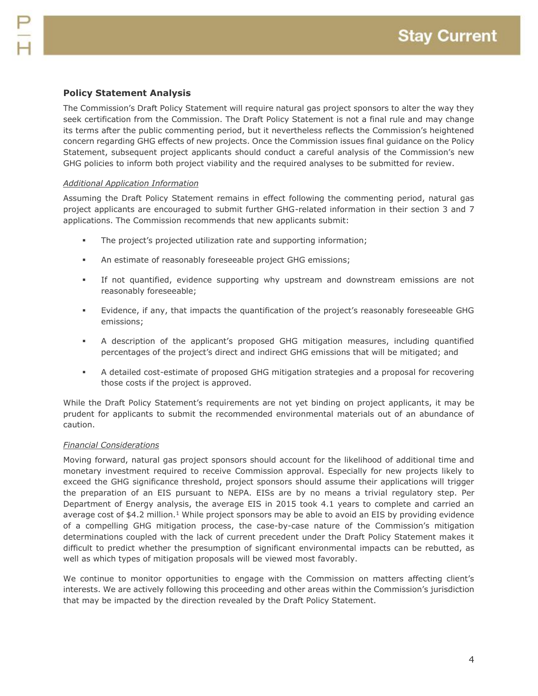The Commission's Draft Policy Statement will require natural gas project sponsors to alter the way they seek certification from the Commission. The Draft Policy Statement is not a final rule and may change its terms after the public commenting period, but it nevertheless reflects the Commission's heightened concern regarding GHG effects of new projects. Once the Commission issues final guidance on the Policy Statement, subsequent project applicants should conduct a careful analysis of the Commission's new GHG policies to inform both project viability and the required analyses to be submitted for review.

#### *Additional Application Information*

Assuming the Draft Policy Statement remains in effect following the commenting period, natural gas project applicants are encouraged to submit further GHG-related information in their section 3 and 7 applications. The Commission recommends that new applicants submit:

- The project's projected utilization rate and supporting information;
- An estimate of reasonably foreseeable project GHG emissions;
- If not quantified, evidence supporting why upstream and downstream emissions are not reasonably foreseeable;
- Evidence, if any, that impacts the quantification of the project's reasonably foreseeable GHG emissions;
- A description of the applicant's proposed GHG mitigation measures, including quantified percentages of the project's direct and indirect GHG emissions that will be mitigated; and
- A detailed cost-estimate of proposed GHG mitigation strategies and a proposal for recovering those costs if the project is approved.

While the Draft Policy Statement's requirements are not yet binding on project applicants, it may be prudent for applicants to submit the recommended environmental materials out of an abundance of caution.

#### *Financial Considerations*

Moving forward, natural gas project sponsors should account for the likelihood of additional time and monetary investment required to receive Commission approval. Especially for new projects likely to exceed the GHG significance threshold, project sponsors should assume their applications will trigger the preparation of an EIS pursuant to NEPA. EISs are by no means a trivial regulatory step. Per Department of Energy analysis, the average EIS in 2015 took 4.1 years to complete and carried an average cost of \$4.2 million.<sup>1</sup> While project sponsors may be able to avoid an EIS by providing evidence of a compelling GHG mitigation process, the case-by-case nature of the Commission's mitigation determinations coupled with the lack of current precedent under the Draft Policy Statement makes it difficult to predict whether the presumption of significant environmental impacts can be rebutted, as well as which types of mitigation proposals will be viewed most favorably.

We continue to monitor opportunities to engage with the Commission on matters affecting client's interests. We are actively following this proceeding and other areas within the Commission's jurisdiction that may be impacted by the direction revealed by the Draft Policy Statement.